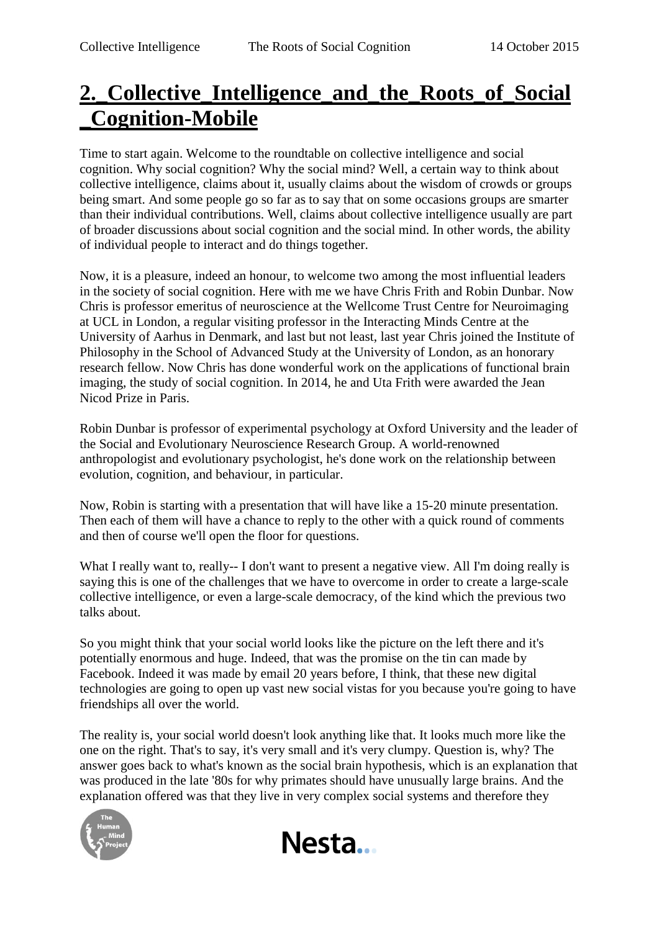## **2.\_Collective\_Intelligence\_and\_the\_Roots\_of\_Social \_Cognition-Mobile**

Time to start again. Welcome to the roundtable on collective intelligence and social cognition. Why social cognition? Why the social mind? Well, a certain way to think about collective intelligence, claims about it, usually claims about the wisdom of crowds or groups being smart. And some people go so far as to say that on some occasions groups are smarter than their individual contributions. Well, claims about collective intelligence usually are part of broader discussions about social cognition and the social mind. In other words, the ability of individual people to interact and do things together.

Now, it is a pleasure, indeed an honour, to welcome two among the most influential leaders in the society of social cognition. Here with me we have Chris Frith and Robin Dunbar. Now Chris is professor emeritus of neuroscience at the Wellcome Trust Centre for Neuroimaging at UCL in London, a regular visiting professor in the Interacting Minds Centre at the University of Aarhus in Denmark, and last but not least, last year Chris joined the Institute of Philosophy in the School of Advanced Study at the University of London, as an honorary research fellow. Now Chris has done wonderful work on the applications of functional brain imaging, the study of social cognition. In 2014, he and Uta Frith were awarded the Jean Nicod Prize in Paris.

Robin Dunbar is professor of experimental psychology at Oxford University and the leader of the Social and Evolutionary Neuroscience Research Group. A world-renowned anthropologist and evolutionary psychologist, he's done work on the relationship between evolution, cognition, and behaviour, in particular.

Now, Robin is starting with a presentation that will have like a 15-20 minute presentation. Then each of them will have a chance to reply to the other with a quick round of comments and then of course we'll open the floor for questions.

What I really want to, really-- I don't want to present a negative view. All I'm doing really is saying this is one of the challenges that we have to overcome in order to create a large-scale collective intelligence, or even a large-scale democracy, of the kind which the previous two talks about.

So you might think that your social world looks like the picture on the left there and it's potentially enormous and huge. Indeed, that was the promise on the tin can made by Facebook. Indeed it was made by email 20 years before, I think, that these new digital technologies are going to open up vast new social vistas for you because you're going to have friendships all over the world.

The reality is, your social world doesn't look anything like that. It looks much more like the one on the right. That's to say, it's very small and it's very clumpy. Question is, why? The answer goes back to what's known as the social brain hypothesis, which is an explanation that was produced in the late '80s for why primates should have unusually large brains. And the explanation offered was that they live in very complex social systems and therefore they



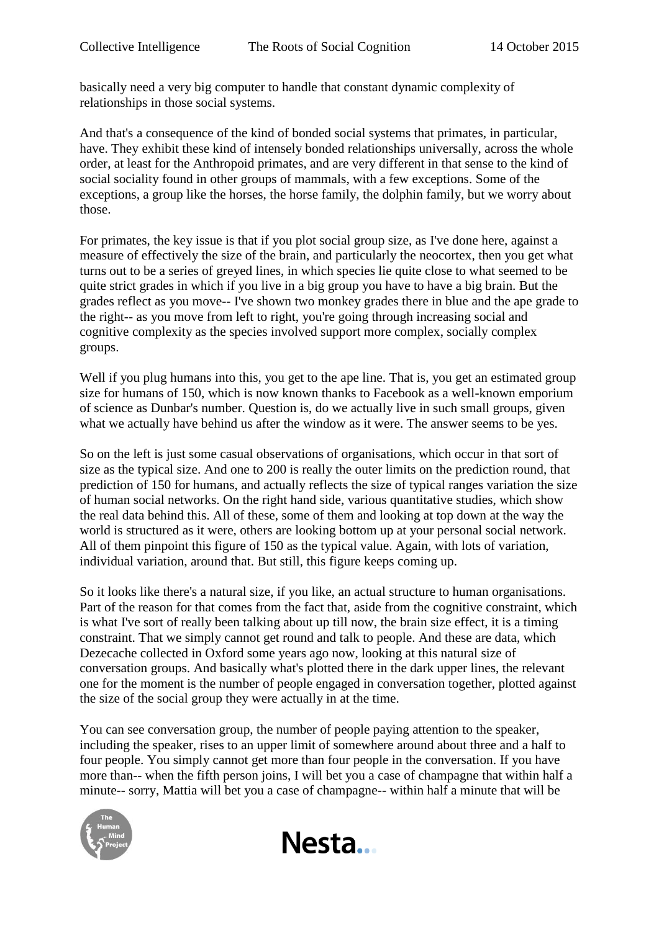basically need a very big computer to handle that constant dynamic complexity of relationships in those social systems.

And that's a consequence of the kind of bonded social systems that primates, in particular, have. They exhibit these kind of intensely bonded relationships universally, across the whole order, at least for the Anthropoid primates, and are very different in that sense to the kind of social sociality found in other groups of mammals, with a few exceptions. Some of the exceptions, a group like the horses, the horse family, the dolphin family, but we worry about those.

For primates, the key issue is that if you plot social group size, as I've done here, against a measure of effectively the size of the brain, and particularly the neocortex, then you get what turns out to be a series of greyed lines, in which species lie quite close to what seemed to be quite strict grades in which if you live in a big group you have to have a big brain. But the grades reflect as you move-- I've shown two monkey grades there in blue and the ape grade to the right-- as you move from left to right, you're going through increasing social and cognitive complexity as the species involved support more complex, socially complex groups.

Well if you plug humans into this, you get to the ape line. That is, you get an estimated group size for humans of 150, which is now known thanks to Facebook as a well-known emporium of science as Dunbar's number. Question is, do we actually live in such small groups, given what we actually have behind us after the window as it were. The answer seems to be yes.

So on the left is just some casual observations of organisations, which occur in that sort of size as the typical size. And one to 200 is really the outer limits on the prediction round, that prediction of 150 for humans, and actually reflects the size of typical ranges variation the size of human social networks. On the right hand side, various quantitative studies, which show the real data behind this. All of these, some of them and looking at top down at the way the world is structured as it were, others are looking bottom up at your personal social network. All of them pinpoint this figure of 150 as the typical value. Again, with lots of variation, individual variation, around that. But still, this figure keeps coming up.

So it looks like there's a natural size, if you like, an actual structure to human organisations. Part of the reason for that comes from the fact that, aside from the cognitive constraint, which is what I've sort of really been talking about up till now, the brain size effect, it is a timing constraint. That we simply cannot get round and talk to people. And these are data, which Dezecache collected in Oxford some years ago now, looking at this natural size of conversation groups. And basically what's plotted there in the dark upper lines, the relevant one for the moment is the number of people engaged in conversation together, plotted against the size of the social group they were actually in at the time.

You can see conversation group, the number of people paying attention to the speaker, including the speaker, rises to an upper limit of somewhere around about three and a half to four people. You simply cannot get more than four people in the conversation. If you have more than-- when the fifth person joins, I will bet you a case of champagne that within half a minute-- sorry, Mattia will bet you a case of champagne-- within half a minute that will be



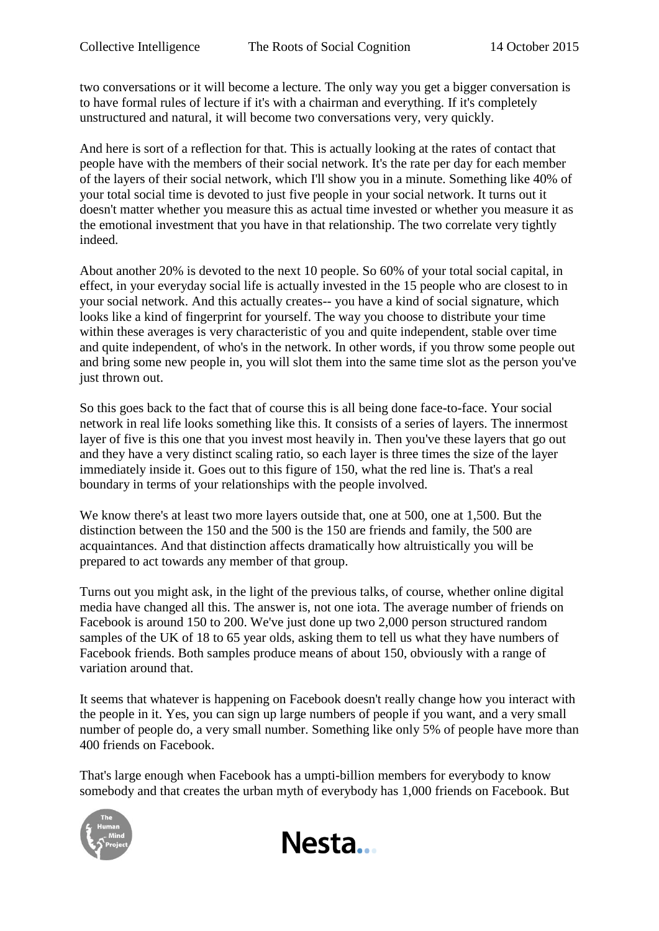two conversations or it will become a lecture. The only way you get a bigger conversation is to have formal rules of lecture if it's with a chairman and everything. If it's completely unstructured and natural, it will become two conversations very, very quickly.

And here is sort of a reflection for that. This is actually looking at the rates of contact that people have with the members of their social network. It's the rate per day for each member of the layers of their social network, which I'll show you in a minute. Something like 40% of your total social time is devoted to just five people in your social network. It turns out it doesn't matter whether you measure this as actual time invested or whether you measure it as the emotional investment that you have in that relationship. The two correlate very tightly indeed.

About another 20% is devoted to the next 10 people. So 60% of your total social capital, in effect, in your everyday social life is actually invested in the 15 people who are closest to in your social network. And this actually creates-- you have a kind of social signature, which looks like a kind of fingerprint for yourself. The way you choose to distribute your time within these averages is very characteristic of you and quite independent, stable over time and quite independent, of who's in the network. In other words, if you throw some people out and bring some new people in, you will slot them into the same time slot as the person you've just thrown out.

So this goes back to the fact that of course this is all being done face-to-face. Your social network in real life looks something like this. It consists of a series of layers. The innermost layer of five is this one that you invest most heavily in. Then you've these layers that go out and they have a very distinct scaling ratio, so each layer is three times the size of the layer immediately inside it. Goes out to this figure of 150, what the red line is. That's a real boundary in terms of your relationships with the people involved.

We know there's at least two more layers outside that, one at 500, one at 1,500. But the distinction between the 150 and the 500 is the 150 are friends and family, the 500 are acquaintances. And that distinction affects dramatically how altruistically you will be prepared to act towards any member of that group.

Turns out you might ask, in the light of the previous talks, of course, whether online digital media have changed all this. The answer is, not one iota. The average number of friends on Facebook is around 150 to 200. We've just done up two 2,000 person structured random samples of the UK of 18 to 65 year olds, asking them to tell us what they have numbers of Facebook friends. Both samples produce means of about 150, obviously with a range of variation around that.

It seems that whatever is happening on Facebook doesn't really change how you interact with the people in it. Yes, you can sign up large numbers of people if you want, and a very small number of people do, a very small number. Something like only 5% of people have more than 400 friends on Facebook.

That's large enough when Facebook has a umpti-billion members for everybody to know somebody and that creates the urban myth of everybody has 1,000 friends on Facebook. But



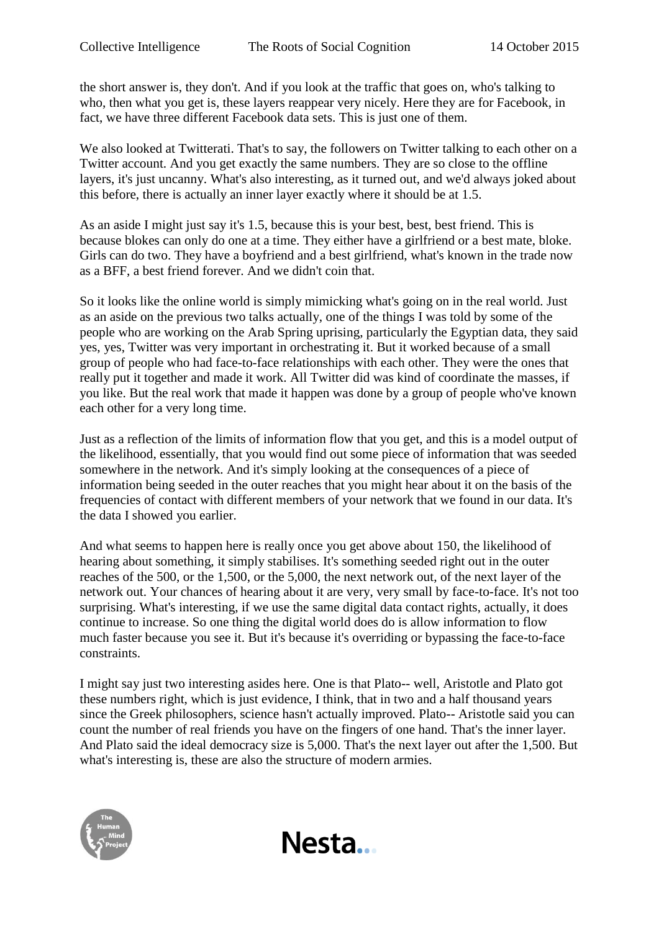the short answer is, they don't. And if you look at the traffic that goes on, who's talking to who, then what you get is, these layers reappear very nicely. Here they are for Facebook, in fact, we have three different Facebook data sets. This is just one of them.

We also looked at Twitterati. That's to say, the followers on Twitter talking to each other on a Twitter account. And you get exactly the same numbers. They are so close to the offline layers, it's just uncanny. What's also interesting, as it turned out, and we'd always joked about this before, there is actually an inner layer exactly where it should be at 1.5.

As an aside I might just say it's 1.5, because this is your best, best, best friend. This is because blokes can only do one at a time. They either have a girlfriend or a best mate, bloke. Girls can do two. They have a boyfriend and a best girlfriend, what's known in the trade now as a BFF, a best friend forever. And we didn't coin that.

So it looks like the online world is simply mimicking what's going on in the real world. Just as an aside on the previous two talks actually, one of the things I was told by some of the people who are working on the Arab Spring uprising, particularly the Egyptian data, they said yes, yes, Twitter was very important in orchestrating it. But it worked because of a small group of people who had face-to-face relationships with each other. They were the ones that really put it together and made it work. All Twitter did was kind of coordinate the masses, if you like. But the real work that made it happen was done by a group of people who've known each other for a very long time.

Just as a reflection of the limits of information flow that you get, and this is a model output of the likelihood, essentially, that you would find out some piece of information that was seeded somewhere in the network. And it's simply looking at the consequences of a piece of information being seeded in the outer reaches that you might hear about it on the basis of the frequencies of contact with different members of your network that we found in our data. It's the data I showed you earlier.

And what seems to happen here is really once you get above about 150, the likelihood of hearing about something, it simply stabilises. It's something seeded right out in the outer reaches of the 500, or the 1,500, or the 5,000, the next network out, of the next layer of the network out. Your chances of hearing about it are very, very small by face-to-face. It's not too surprising. What's interesting, if we use the same digital data contact rights, actually, it does continue to increase. So one thing the digital world does do is allow information to flow much faster because you see it. But it's because it's overriding or bypassing the face-to-face constraints.

I might say just two interesting asides here. One is that Plato-- well, Aristotle and Plato got these numbers right, which is just evidence, I think, that in two and a half thousand years since the Greek philosophers, science hasn't actually improved. Plato-- Aristotle said you can count the number of real friends you have on the fingers of one hand. That's the inner layer. And Plato said the ideal democracy size is 5,000. That's the next layer out after the 1,500. But what's interesting is, these are also the structure of modern armies.



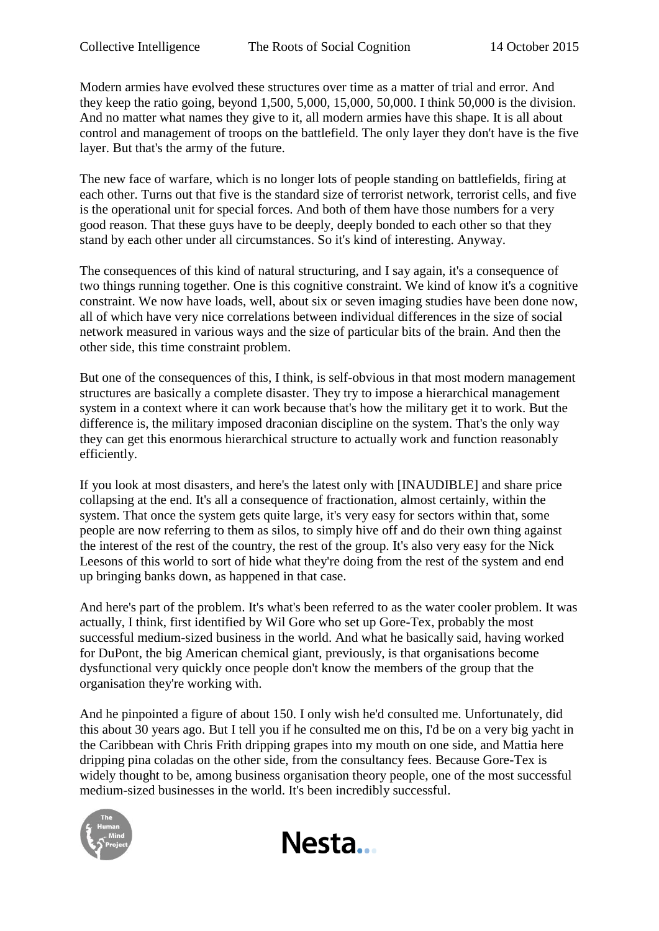Modern armies have evolved these structures over time as a matter of trial and error. And they keep the ratio going, beyond 1,500, 5,000, 15,000, 50,000. I think 50,000 is the division. And no matter what names they give to it, all modern armies have this shape. It is all about control and management of troops on the battlefield. The only layer they don't have is the five layer. But that's the army of the future.

The new face of warfare, which is no longer lots of people standing on battlefields, firing at each other. Turns out that five is the standard size of terrorist network, terrorist cells, and five is the operational unit for special forces. And both of them have those numbers for a very good reason. That these guys have to be deeply, deeply bonded to each other so that they stand by each other under all circumstances. So it's kind of interesting. Anyway.

The consequences of this kind of natural structuring, and I say again, it's a consequence of two things running together. One is this cognitive constraint. We kind of know it's a cognitive constraint. We now have loads, well, about six or seven imaging studies have been done now, all of which have very nice correlations between individual differences in the size of social network measured in various ways and the size of particular bits of the brain. And then the other side, this time constraint problem.

But one of the consequences of this, I think, is self-obvious in that most modern management structures are basically a complete disaster. They try to impose a hierarchical management system in a context where it can work because that's how the military get it to work. But the difference is, the military imposed draconian discipline on the system. That's the only way they can get this enormous hierarchical structure to actually work and function reasonably efficiently.

If you look at most disasters, and here's the latest only with [INAUDIBLE] and share price collapsing at the end. It's all a consequence of fractionation, almost certainly, within the system. That once the system gets quite large, it's very easy for sectors within that, some people are now referring to them as silos, to simply hive off and do their own thing against the interest of the rest of the country, the rest of the group. It's also very easy for the Nick Leesons of this world to sort of hide what they're doing from the rest of the system and end up bringing banks down, as happened in that case.

And here's part of the problem. It's what's been referred to as the water cooler problem. It was actually, I think, first identified by Wil Gore who set up Gore-Tex, probably the most successful medium-sized business in the world. And what he basically said, having worked for DuPont, the big American chemical giant, previously, is that organisations become dysfunctional very quickly once people don't know the members of the group that the organisation they're working with.

And he pinpointed a figure of about 150. I only wish he'd consulted me. Unfortunately, did this about 30 years ago. But I tell you if he consulted me on this, I'd be on a very big yacht in the Caribbean with Chris Frith dripping grapes into my mouth on one side, and Mattia here dripping pina coladas on the other side, from the consultancy fees. Because Gore-Tex is widely thought to be, among business organisation theory people, one of the most successful medium-sized businesses in the world. It's been incredibly successful.



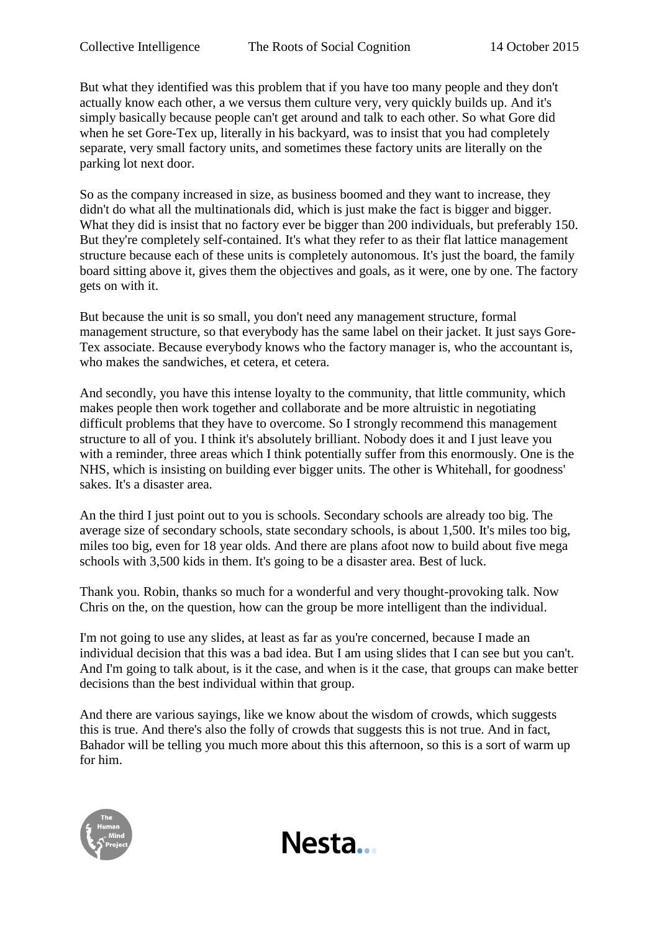But what they identified was this problem that if you have too many people and they don't actually know each other, a we versus them culture very, very quickly builds up. And it's simply basically because people can't get around and talk to each other. So what Gore did when he set Gore-Tex up, literally in his backyard, was to insist that you had completely separate, very small factory units, and sometimes these factory units are literally on the parking lot next door.

So as the company increased in size, as business boomed and they want to increase, they didn't do what all the multinationals did, which is just make the fact is bigger and bigger. What they did is insist that no factory ever be bigger than 200 individuals, but preferably 150. But they're completely self-contained. It's what they refer to as their flat lattice management structure because each of these units is completely autonomous. It's just the board, the family board sitting above it, gives them the objectives and goals, as it were, one by one. The factory gets on with it.

But because the unit is so small, you don't need any management structure, formal management structure, so that everybody has the same label on their jacket. It just says Gore-Tex associate. Because everybody knows who the factory manager is, who the accountant is, who makes the sandwiches, et cetera, et cetera.

And secondly, you have this intense loyalty to the community, that little community, which makes people then work together and collaborate and be more altruistic in negotiating difficult problems that they have to overcome. So I strongly recommend this management structure to all of you. I think it's absolutely brilliant. Nobody does it and I just leave you with a reminder, three areas which I think potentially suffer from this enormously. One is the NHS, which is insisting on building ever bigger units. The other is Whitehall, for goodness' sakes. It's a disaster area.

An the third I just point out to you is schools. Secondary schools are already too big. The average size of secondary schools, state secondary schools, is about 1,500. It's miles too big, miles too big, even for 18 year olds. And there are plans afoot now to build about five mega schools with 3,500 kids in them. It's going to be a disaster area. Best of luck.

Thank you. Robin, thanks so much for a wonderful and very thought-provoking talk. Now Chris on the, on the question, how can the group be more intelligent than the individual.

I'm not going to use any slides, at least as far as you're concerned, because I made an individual decision that this was a bad idea. But I am using slides that I can see but you can't. And I'm going to talk about, is it the case, and when is it the case, that groups can make better decisions than the best individual within that group.

And there are various sayings, like we know about the wisdom of crowds, which suggests this is true. And there's also the folly of crowds that suggests this is not true. And in fact, Bahador will be telling you much more about this this afternoon, so this is a sort of warm up for him.

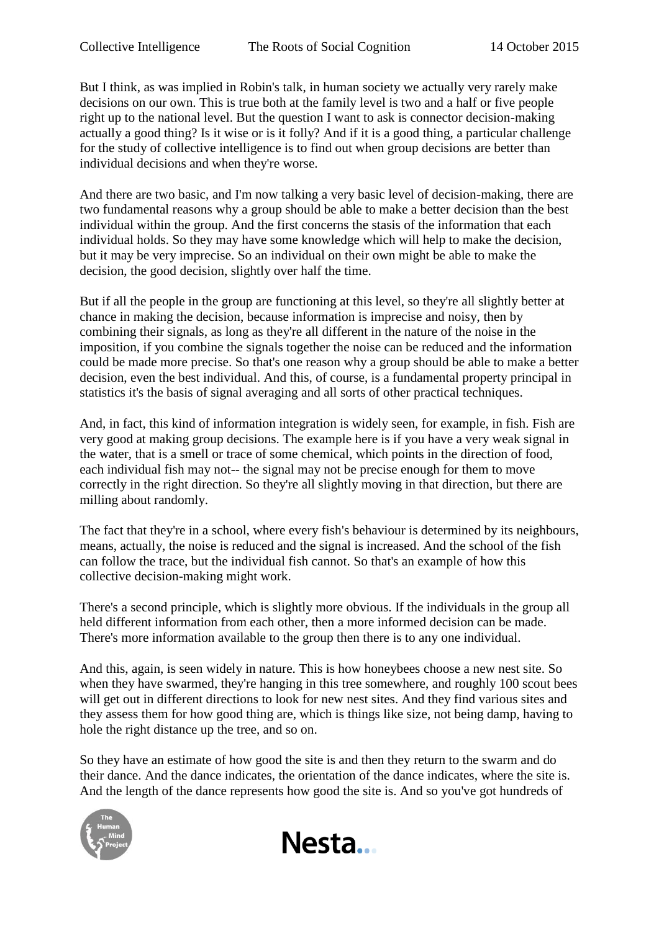But I think, as was implied in Robin's talk, in human society we actually very rarely make decisions on our own. This is true both at the family level is two and a half or five people right up to the national level. But the question I want to ask is connector decision-making actually a good thing? Is it wise or is it folly? And if it is a good thing, a particular challenge for the study of collective intelligence is to find out when group decisions are better than individual decisions and when they're worse.

And there are two basic, and I'm now talking a very basic level of decision-making, there are two fundamental reasons why a group should be able to make a better decision than the best individual within the group. And the first concerns the stasis of the information that each individual holds. So they may have some knowledge which will help to make the decision, but it may be very imprecise. So an individual on their own might be able to make the decision, the good decision, slightly over half the time.

But if all the people in the group are functioning at this level, so they're all slightly better at chance in making the decision, because information is imprecise and noisy, then by combining their signals, as long as they're all different in the nature of the noise in the imposition, if you combine the signals together the noise can be reduced and the information could be made more precise. So that's one reason why a group should be able to make a better decision, even the best individual. And this, of course, is a fundamental property principal in statistics it's the basis of signal averaging and all sorts of other practical techniques.

And, in fact, this kind of information integration is widely seen, for example, in fish. Fish are very good at making group decisions. The example here is if you have a very weak signal in the water, that is a smell or trace of some chemical, which points in the direction of food, each individual fish may not-- the signal may not be precise enough for them to move correctly in the right direction. So they're all slightly moving in that direction, but there are milling about randomly.

The fact that they're in a school, where every fish's behaviour is determined by its neighbours, means, actually, the noise is reduced and the signal is increased. And the school of the fish can follow the trace, but the individual fish cannot. So that's an example of how this collective decision-making might work.

There's a second principle, which is slightly more obvious. If the individuals in the group all held different information from each other, then a more informed decision can be made. There's more information available to the group then there is to any one individual.

And this, again, is seen widely in nature. This is how honeybees choose a new nest site. So when they have swarmed, they're hanging in this tree somewhere, and roughly 100 scout bees will get out in different directions to look for new nest sites. And they find various sites and they assess them for how good thing are, which is things like size, not being damp, having to hole the right distance up the tree, and so on.

So they have an estimate of how good the site is and then they return to the swarm and do their dance. And the dance indicates, the orientation of the dance indicates, where the site is. And the length of the dance represents how good the site is. And so you've got hundreds of



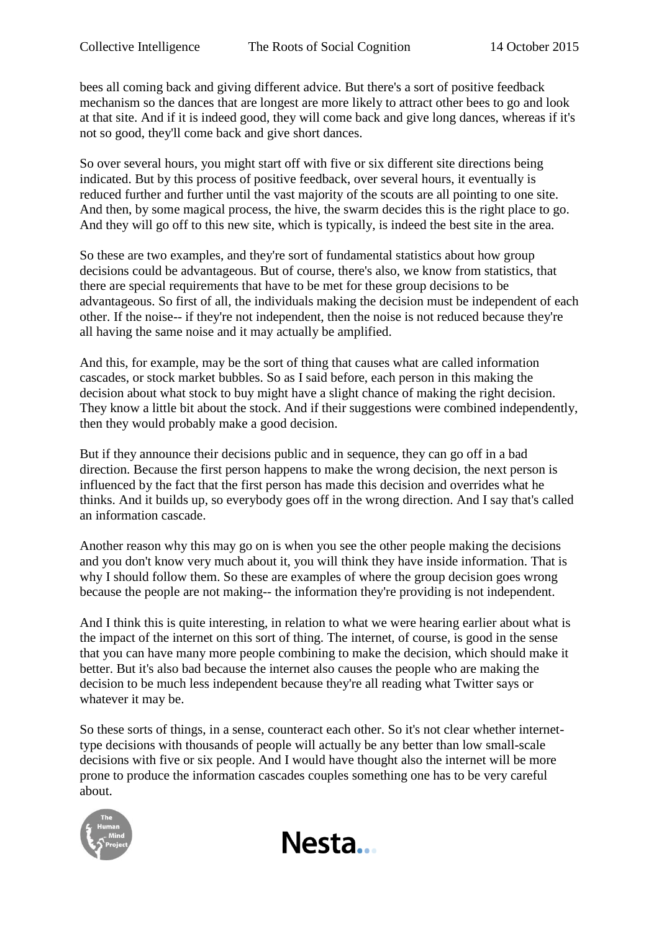bees all coming back and giving different advice. But there's a sort of positive feedback mechanism so the dances that are longest are more likely to attract other bees to go and look at that site. And if it is indeed good, they will come back and give long dances, whereas if it's not so good, they'll come back and give short dances.

So over several hours, you might start off with five or six different site directions being indicated. But by this process of positive feedback, over several hours, it eventually is reduced further and further until the vast majority of the scouts are all pointing to one site. And then, by some magical process, the hive, the swarm decides this is the right place to go. And they will go off to this new site, which is typically, is indeed the best site in the area.

So these are two examples, and they're sort of fundamental statistics about how group decisions could be advantageous. But of course, there's also, we know from statistics, that there are special requirements that have to be met for these group decisions to be advantageous. So first of all, the individuals making the decision must be independent of each other. If the noise-- if they're not independent, then the noise is not reduced because they're all having the same noise and it may actually be amplified.

And this, for example, may be the sort of thing that causes what are called information cascades, or stock market bubbles. So as I said before, each person in this making the decision about what stock to buy might have a slight chance of making the right decision. They know a little bit about the stock. And if their suggestions were combined independently, then they would probably make a good decision.

But if they announce their decisions public and in sequence, they can go off in a bad direction. Because the first person happens to make the wrong decision, the next person is influenced by the fact that the first person has made this decision and overrides what he thinks. And it builds up, so everybody goes off in the wrong direction. And I say that's called an information cascade.

Another reason why this may go on is when you see the other people making the decisions and you don't know very much about it, you will think they have inside information. That is why I should follow them. So these are examples of where the group decision goes wrong because the people are not making-- the information they're providing is not independent.

And I think this is quite interesting, in relation to what we were hearing earlier about what is the impact of the internet on this sort of thing. The internet, of course, is good in the sense that you can have many more people combining to make the decision, which should make it better. But it's also bad because the internet also causes the people who are making the decision to be much less independent because they're all reading what Twitter says or whatever it may be.

So these sorts of things, in a sense, counteract each other. So it's not clear whether internettype decisions with thousands of people will actually be any better than low small-scale decisions with five or six people. And I would have thought also the internet will be more prone to produce the information cascades couples something one has to be very careful about.



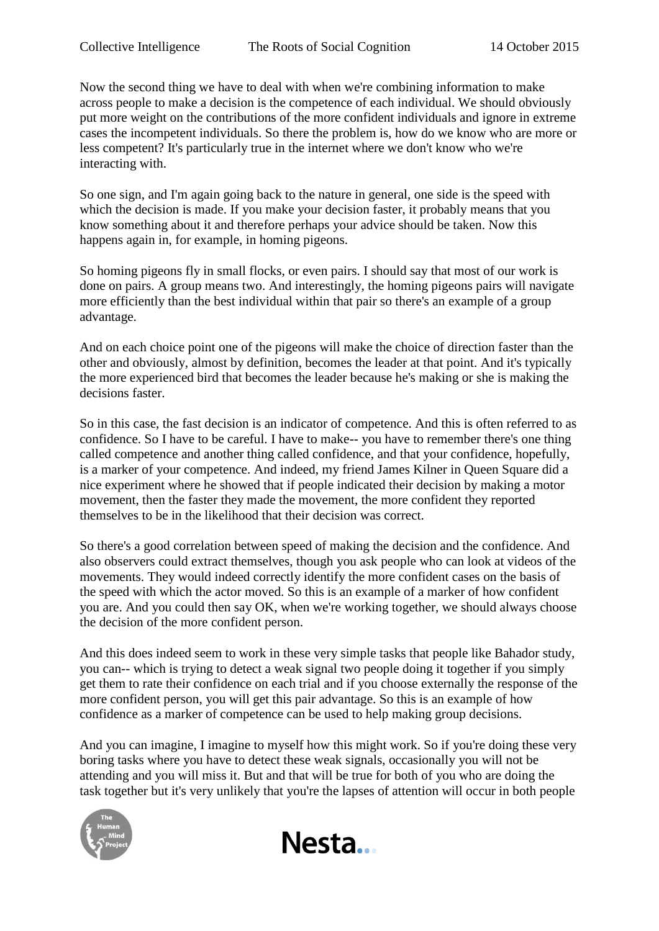Now the second thing we have to deal with when we're combining information to make across people to make a decision is the competence of each individual. We should obviously put more weight on the contributions of the more confident individuals and ignore in extreme cases the incompetent individuals. So there the problem is, how do we know who are more or less competent? It's particularly true in the internet where we don't know who we're interacting with.

So one sign, and I'm again going back to the nature in general, one side is the speed with which the decision is made. If you make your decision faster, it probably means that you know something about it and therefore perhaps your advice should be taken. Now this happens again in, for example, in homing pigeons.

So homing pigeons fly in small flocks, or even pairs. I should say that most of our work is done on pairs. A group means two. And interestingly, the homing pigeons pairs will navigate more efficiently than the best individual within that pair so there's an example of a group advantage.

And on each choice point one of the pigeons will make the choice of direction faster than the other and obviously, almost by definition, becomes the leader at that point. And it's typically the more experienced bird that becomes the leader because he's making or she is making the decisions faster.

So in this case, the fast decision is an indicator of competence. And this is often referred to as confidence. So I have to be careful. I have to make-- you have to remember there's one thing called competence and another thing called confidence, and that your confidence, hopefully, is a marker of your competence. And indeed, my friend James Kilner in Queen Square did a nice experiment where he showed that if people indicated their decision by making a motor movement, then the faster they made the movement, the more confident they reported themselves to be in the likelihood that their decision was correct.

So there's a good correlation between speed of making the decision and the confidence. And also observers could extract themselves, though you ask people who can look at videos of the movements. They would indeed correctly identify the more confident cases on the basis of the speed with which the actor moved. So this is an example of a marker of how confident you are. And you could then say OK, when we're working together, we should always choose the decision of the more confident person.

And this does indeed seem to work in these very simple tasks that people like Bahador study, you can-- which is trying to detect a weak signal two people doing it together if you simply get them to rate their confidence on each trial and if you choose externally the response of the more confident person, you will get this pair advantage. So this is an example of how confidence as a marker of competence can be used to help making group decisions.

And you can imagine, I imagine to myself how this might work. So if you're doing these very boring tasks where you have to detect these weak signals, occasionally you will not be attending and you will miss it. But and that will be true for both of you who are doing the task together but it's very unlikely that you're the lapses of attention will occur in both people



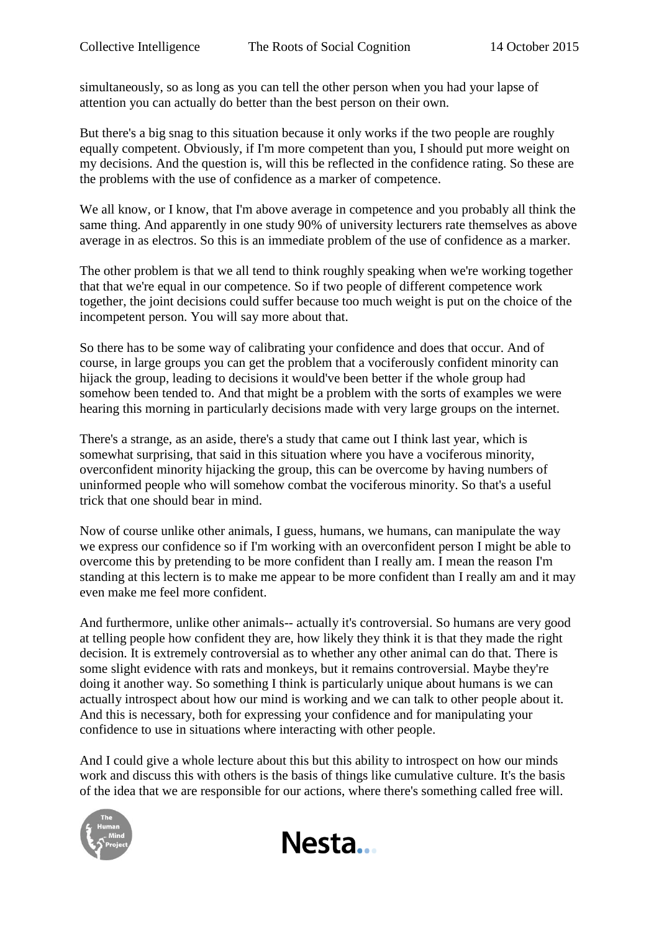simultaneously, so as long as you can tell the other person when you had your lapse of attention you can actually do better than the best person on their own.

But there's a big snag to this situation because it only works if the two people are roughly equally competent. Obviously, if I'm more competent than you, I should put more weight on my decisions. And the question is, will this be reflected in the confidence rating. So these are the problems with the use of confidence as a marker of competence.

We all know, or I know, that I'm above average in competence and you probably all think the same thing. And apparently in one study 90% of university lecturers rate themselves as above average in as electros. So this is an immediate problem of the use of confidence as a marker.

The other problem is that we all tend to think roughly speaking when we're working together that that we're equal in our competence. So if two people of different competence work together, the joint decisions could suffer because too much weight is put on the choice of the incompetent person. You will say more about that.

So there has to be some way of calibrating your confidence and does that occur. And of course, in large groups you can get the problem that a vociferously confident minority can hijack the group, leading to decisions it would've been better if the whole group had somehow been tended to. And that might be a problem with the sorts of examples we were hearing this morning in particularly decisions made with very large groups on the internet.

There's a strange, as an aside, there's a study that came out I think last year, which is somewhat surprising, that said in this situation where you have a vociferous minority, overconfident minority hijacking the group, this can be overcome by having numbers of uninformed people who will somehow combat the vociferous minority. So that's a useful trick that one should bear in mind.

Now of course unlike other animals, I guess, humans, we humans, can manipulate the way we express our confidence so if I'm working with an overconfident person I might be able to overcome this by pretending to be more confident than I really am. I mean the reason I'm standing at this lectern is to make me appear to be more confident than I really am and it may even make me feel more confident.

And furthermore, unlike other animals-- actually it's controversial. So humans are very good at telling people how confident they are, how likely they think it is that they made the right decision. It is extremely controversial as to whether any other animal can do that. There is some slight evidence with rats and monkeys, but it remains controversial. Maybe they're doing it another way. So something I think is particularly unique about humans is we can actually introspect about how our mind is working and we can talk to other people about it. And this is necessary, both for expressing your confidence and for manipulating your confidence to use in situations where interacting with other people.

And I could give a whole lecture about this but this ability to introspect on how our minds work and discuss this with others is the basis of things like cumulative culture. It's the basis of the idea that we are responsible for our actions, where there's something called free will.



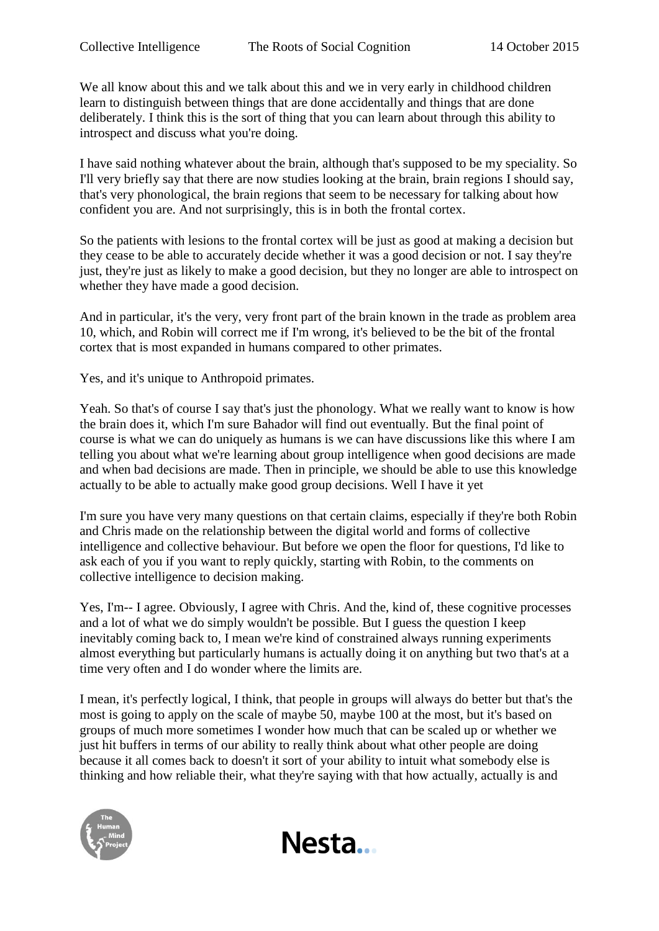We all know about this and we talk about this and we in very early in childhood children learn to distinguish between things that are done accidentally and things that are done deliberately. I think this is the sort of thing that you can learn about through this ability to introspect and discuss what you're doing.

I have said nothing whatever about the brain, although that's supposed to be my speciality. So I'll very briefly say that there are now studies looking at the brain, brain regions I should say, that's very phonological, the brain regions that seem to be necessary for talking about how confident you are. And not surprisingly, this is in both the frontal cortex.

So the patients with lesions to the frontal cortex will be just as good at making a decision but they cease to be able to accurately decide whether it was a good decision or not. I say they're just, they're just as likely to make a good decision, but they no longer are able to introspect on whether they have made a good decision.

And in particular, it's the very, very front part of the brain known in the trade as problem area 10, which, and Robin will correct me if I'm wrong, it's believed to be the bit of the frontal cortex that is most expanded in humans compared to other primates.

Yes, and it's unique to Anthropoid primates.

Yeah. So that's of course I say that's just the phonology. What we really want to know is how the brain does it, which I'm sure Bahador will find out eventually. But the final point of course is what we can do uniquely as humans is we can have discussions like this where I am telling you about what we're learning about group intelligence when good decisions are made and when bad decisions are made. Then in principle, we should be able to use this knowledge actually to be able to actually make good group decisions. Well I have it yet

I'm sure you have very many questions on that certain claims, especially if they're both Robin and Chris made on the relationship between the digital world and forms of collective intelligence and collective behaviour. But before we open the floor for questions, I'd like to ask each of you if you want to reply quickly, starting with Robin, to the comments on collective intelligence to decision making.

Yes, I'm-- I agree. Obviously, I agree with Chris. And the, kind of, these cognitive processes and a lot of what we do simply wouldn't be possible. But I guess the question I keep inevitably coming back to, I mean we're kind of constrained always running experiments almost everything but particularly humans is actually doing it on anything but two that's at a time very often and I do wonder where the limits are.

I mean, it's perfectly logical, I think, that people in groups will always do better but that's the most is going to apply on the scale of maybe 50, maybe 100 at the most, but it's based on groups of much more sometimes I wonder how much that can be scaled up or whether we just hit buffers in terms of our ability to really think about what other people are doing because it all comes back to doesn't it sort of your ability to intuit what somebody else is thinking and how reliable their, what they're saying with that how actually, actually is and



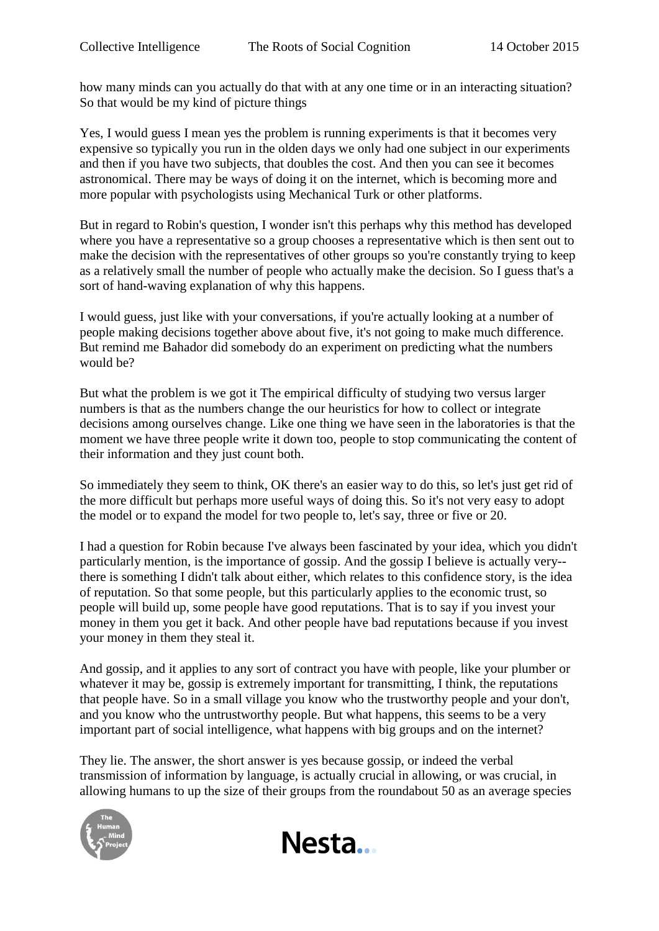how many minds can you actually do that with at any one time or in an interacting situation? So that would be my kind of picture things

Yes, I would guess I mean yes the problem is running experiments is that it becomes very expensive so typically you run in the olden days we only had one subject in our experiments and then if you have two subjects, that doubles the cost. And then you can see it becomes astronomical. There may be ways of doing it on the internet, which is becoming more and more popular with psychologists using Mechanical Turk or other platforms.

But in regard to Robin's question, I wonder isn't this perhaps why this method has developed where you have a representative so a group chooses a representative which is then sent out to make the decision with the representatives of other groups so you're constantly trying to keep as a relatively small the number of people who actually make the decision. So I guess that's a sort of hand-waving explanation of why this happens.

I would guess, just like with your conversations, if you're actually looking at a number of people making decisions together above about five, it's not going to make much difference. But remind me Bahador did somebody do an experiment on predicting what the numbers would be?

But what the problem is we got it The empirical difficulty of studying two versus larger numbers is that as the numbers change the our heuristics for how to collect or integrate decisions among ourselves change. Like one thing we have seen in the laboratories is that the moment we have three people write it down too, people to stop communicating the content of their information and they just count both.

So immediately they seem to think, OK there's an easier way to do this, so let's just get rid of the more difficult but perhaps more useful ways of doing this. So it's not very easy to adopt the model or to expand the model for two people to, let's say, three or five or 20.

I had a question for Robin because I've always been fascinated by your idea, which you didn't particularly mention, is the importance of gossip. And the gossip I believe is actually very- there is something I didn't talk about either, which relates to this confidence story, is the idea of reputation. So that some people, but this particularly applies to the economic trust, so people will build up, some people have good reputations. That is to say if you invest your money in them you get it back. And other people have bad reputations because if you invest your money in them they steal it.

And gossip, and it applies to any sort of contract you have with people, like your plumber or whatever it may be, gossip is extremely important for transmitting, I think, the reputations that people have. So in a small village you know who the trustworthy people and your don't, and you know who the untrustworthy people. But what happens, this seems to be a very important part of social intelligence, what happens with big groups and on the internet?

They lie. The answer, the short answer is yes because gossip, or indeed the verbal transmission of information by language, is actually crucial in allowing, or was crucial, in allowing humans to up the size of their groups from the roundabout 50 as an average species



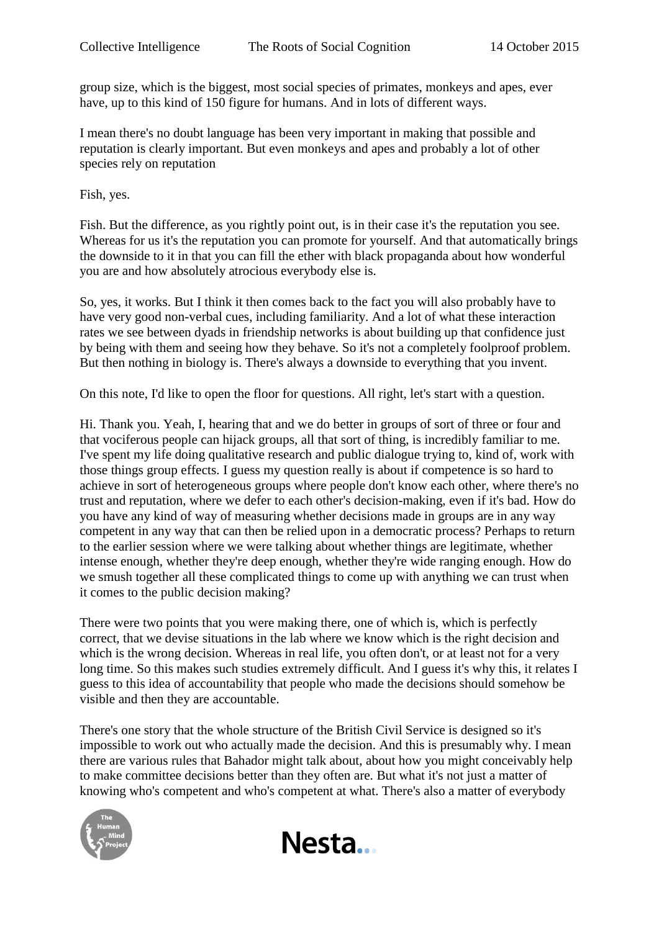group size, which is the biggest, most social species of primates, monkeys and apes, ever have, up to this kind of 150 figure for humans. And in lots of different ways.

I mean there's no doubt language has been very important in making that possible and reputation is clearly important. But even monkeys and apes and probably a lot of other species rely on reputation

Fish, yes.

Fish. But the difference, as you rightly point out, is in their case it's the reputation you see. Whereas for us it's the reputation you can promote for yourself. And that automatically brings the downside to it in that you can fill the ether with black propaganda about how wonderful you are and how absolutely atrocious everybody else is.

So, yes, it works. But I think it then comes back to the fact you will also probably have to have very good non-verbal cues, including familiarity. And a lot of what these interaction rates we see between dyads in friendship networks is about building up that confidence just by being with them and seeing how they behave. So it's not a completely foolproof problem. But then nothing in biology is. There's always a downside to everything that you invent.

On this note, I'd like to open the floor for questions. All right, let's start with a question.

Hi. Thank you. Yeah, I, hearing that and we do better in groups of sort of three or four and that vociferous people can hijack groups, all that sort of thing, is incredibly familiar to me. I've spent my life doing qualitative research and public dialogue trying to, kind of, work with those things group effects. I guess my question really is about if competence is so hard to achieve in sort of heterogeneous groups where people don't know each other, where there's no trust and reputation, where we defer to each other's decision-making, even if it's bad. How do you have any kind of way of measuring whether decisions made in groups are in any way competent in any way that can then be relied upon in a democratic process? Perhaps to return to the earlier session where we were talking about whether things are legitimate, whether intense enough, whether they're deep enough, whether they're wide ranging enough. How do we smush together all these complicated things to come up with anything we can trust when it comes to the public decision making?

There were two points that you were making there, one of which is, which is perfectly correct, that we devise situations in the lab where we know which is the right decision and which is the wrong decision. Whereas in real life, you often don't, or at least not for a very long time. So this makes such studies extremely difficult. And I guess it's why this, it relates I guess to this idea of accountability that people who made the decisions should somehow be visible and then they are accountable.

There's one story that the whole structure of the British Civil Service is designed so it's impossible to work out who actually made the decision. And this is presumably why. I mean there are various rules that Bahador might talk about, about how you might conceivably help to make committee decisions better than they often are. But what it's not just a matter of knowing who's competent and who's competent at what. There's also a matter of everybody



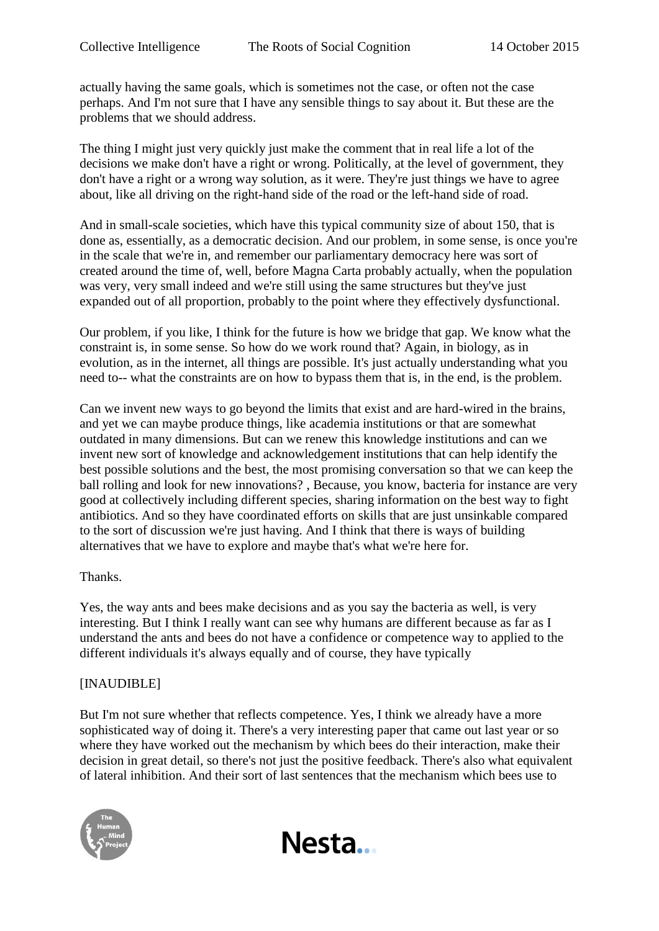actually having the same goals, which is sometimes not the case, or often not the case perhaps. And I'm not sure that I have any sensible things to say about it. But these are the problems that we should address.

The thing I might just very quickly just make the comment that in real life a lot of the decisions we make don't have a right or wrong. Politically, at the level of government, they don't have a right or a wrong way solution, as it were. They're just things we have to agree about, like all driving on the right-hand side of the road or the left-hand side of road.

And in small-scale societies, which have this typical community size of about 150, that is done as, essentially, as a democratic decision. And our problem, in some sense, is once you're in the scale that we're in, and remember our parliamentary democracy here was sort of created around the time of, well, before Magna Carta probably actually, when the population was very, very small indeed and we're still using the same structures but they've just expanded out of all proportion, probably to the point where they effectively dysfunctional.

Our problem, if you like, I think for the future is how we bridge that gap. We know what the constraint is, in some sense. So how do we work round that? Again, in biology, as in evolution, as in the internet, all things are possible. It's just actually understanding what you need to-- what the constraints are on how to bypass them that is, in the end, is the problem.

Can we invent new ways to go beyond the limits that exist and are hard-wired in the brains, and yet we can maybe produce things, like academia institutions or that are somewhat outdated in many dimensions. But can we renew this knowledge institutions and can we invent new sort of knowledge and acknowledgement institutions that can help identify the best possible solutions and the best, the most promising conversation so that we can keep the ball rolling and look for new innovations? , Because, you know, bacteria for instance are very good at collectively including different species, sharing information on the best way to fight antibiotics. And so they have coordinated efforts on skills that are just unsinkable compared to the sort of discussion we're just having. And I think that there is ways of building alternatives that we have to explore and maybe that's what we're here for.

## Thanks.

Yes, the way ants and bees make decisions and as you say the bacteria as well, is very interesting. But I think I really want can see why humans are different because as far as I understand the ants and bees do not have a confidence or competence way to applied to the different individuals it's always equally and of course, they have typically

## [INAUDIBLE]

But I'm not sure whether that reflects competence. Yes, I think we already have a more sophisticated way of doing it. There's a very interesting paper that came out last year or so where they have worked out the mechanism by which bees do their interaction, make their decision in great detail, so there's not just the positive feedback. There's also what equivalent of lateral inhibition. And their sort of last sentences that the mechanism which bees use to



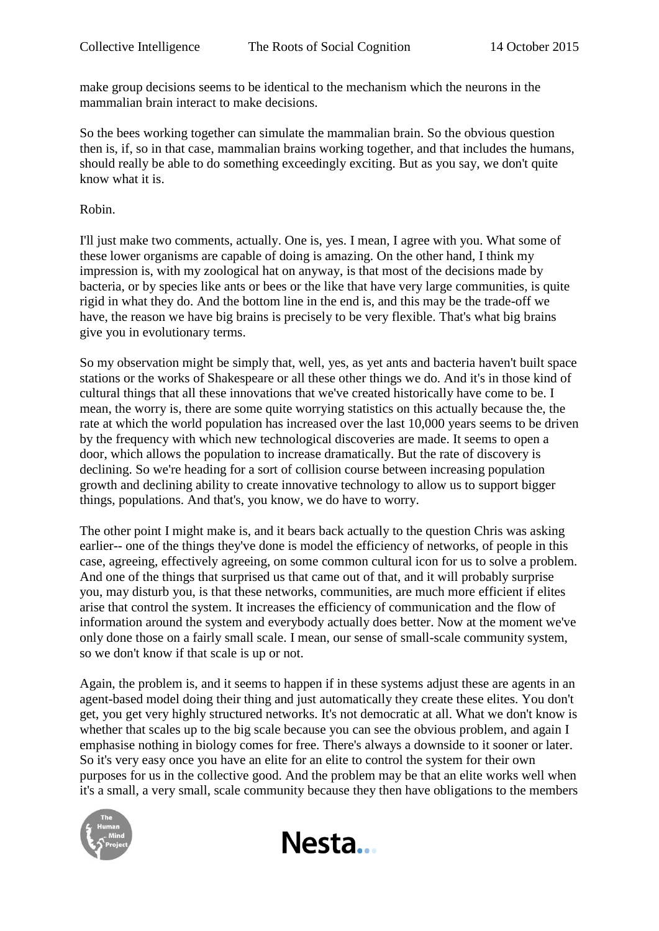make group decisions seems to be identical to the mechanism which the neurons in the mammalian brain interact to make decisions.

So the bees working together can simulate the mammalian brain. So the obvious question then is, if, so in that case, mammalian brains working together, and that includes the humans, should really be able to do something exceedingly exciting. But as you say, we don't quite know what it is.

Robin.

I'll just make two comments, actually. One is, yes. I mean, I agree with you. What some of these lower organisms are capable of doing is amazing. On the other hand, I think my impression is, with my zoological hat on anyway, is that most of the decisions made by bacteria, or by species like ants or bees or the like that have very large communities, is quite rigid in what they do. And the bottom line in the end is, and this may be the trade-off we have, the reason we have big brains is precisely to be very flexible. That's what big brains give you in evolutionary terms.

So my observation might be simply that, well, yes, as yet ants and bacteria haven't built space stations or the works of Shakespeare or all these other things we do. And it's in those kind of cultural things that all these innovations that we've created historically have come to be. I mean, the worry is, there are some quite worrying statistics on this actually because the, the rate at which the world population has increased over the last 10,000 years seems to be driven by the frequency with which new technological discoveries are made. It seems to open a door, which allows the population to increase dramatically. But the rate of discovery is declining. So we're heading for a sort of collision course between increasing population growth and declining ability to create innovative technology to allow us to support bigger things, populations. And that's, you know, we do have to worry.

The other point I might make is, and it bears back actually to the question Chris was asking earlier-- one of the things they've done is model the efficiency of networks, of people in this case, agreeing, effectively agreeing, on some common cultural icon for us to solve a problem. And one of the things that surprised us that came out of that, and it will probably surprise you, may disturb you, is that these networks, communities, are much more efficient if elites arise that control the system. It increases the efficiency of communication and the flow of information around the system and everybody actually does better. Now at the moment we've only done those on a fairly small scale. I mean, our sense of small-scale community system, so we don't know if that scale is up or not.

Again, the problem is, and it seems to happen if in these systems adjust these are agents in an agent-based model doing their thing and just automatically they create these elites. You don't get, you get very highly structured networks. It's not democratic at all. What we don't know is whether that scales up to the big scale because you can see the obvious problem, and again I emphasise nothing in biology comes for free. There's always a downside to it sooner or later. So it's very easy once you have an elite for an elite to control the system for their own purposes for us in the collective good. And the problem may be that an elite works well when it's a small, a very small, scale community because they then have obligations to the members



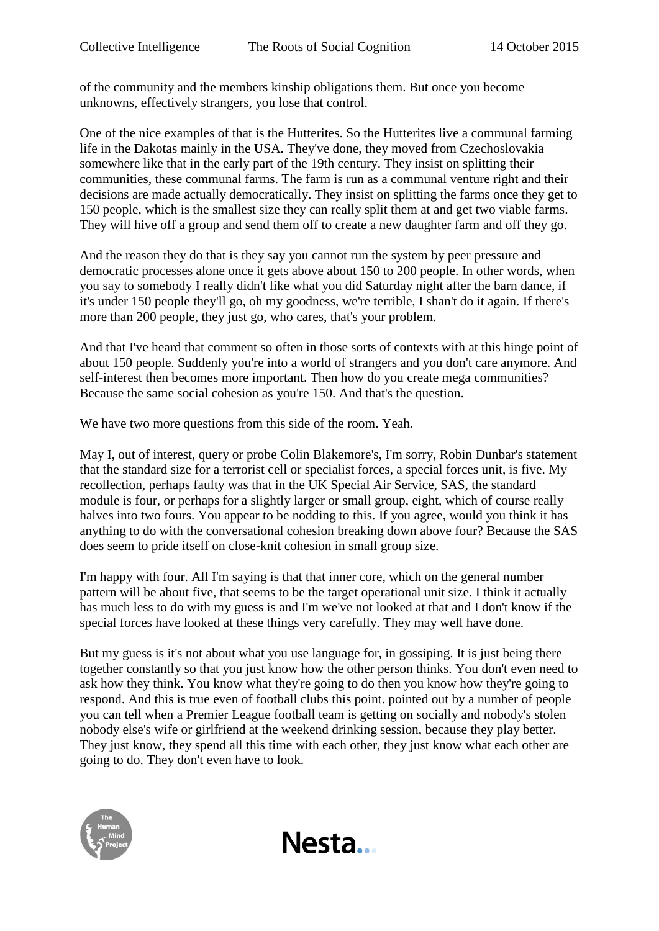of the community and the members kinship obligations them. But once you become unknowns, effectively strangers, you lose that control.

One of the nice examples of that is the Hutterites. So the Hutterites live a communal farming life in the Dakotas mainly in the USA. They've done, they moved from Czechoslovakia somewhere like that in the early part of the 19th century. They insist on splitting their communities, these communal farms. The farm is run as a communal venture right and their decisions are made actually democratically. They insist on splitting the farms once they get to 150 people, which is the smallest size they can really split them at and get two viable farms. They will hive off a group and send them off to create a new daughter farm and off they go.

And the reason they do that is they say you cannot run the system by peer pressure and democratic processes alone once it gets above about 150 to 200 people. In other words, when you say to somebody I really didn't like what you did Saturday night after the barn dance, if it's under 150 people they'll go, oh my goodness, we're terrible, I shan't do it again. If there's more than 200 people, they just go, who cares, that's your problem.

And that I've heard that comment so often in those sorts of contexts with at this hinge point of about 150 people. Suddenly you're into a world of strangers and you don't care anymore. And self-interest then becomes more important. Then how do you create mega communities? Because the same social cohesion as you're 150. And that's the question.

We have two more questions from this side of the room. Yeah.

May I, out of interest, query or probe Colin Blakemore's, I'm sorry, Robin Dunbar's statement that the standard size for a terrorist cell or specialist forces, a special forces unit, is five. My recollection, perhaps faulty was that in the UK Special Air Service, SAS, the standard module is four, or perhaps for a slightly larger or small group, eight, which of course really halves into two fours. You appear to be nodding to this. If you agree, would you think it has anything to do with the conversational cohesion breaking down above four? Because the SAS does seem to pride itself on close-knit cohesion in small group size.

I'm happy with four. All I'm saying is that that inner core, which on the general number pattern will be about five, that seems to be the target operational unit size. I think it actually has much less to do with my guess is and I'm we've not looked at that and I don't know if the special forces have looked at these things very carefully. They may well have done.

But my guess is it's not about what you use language for, in gossiping. It is just being there together constantly so that you just know how the other person thinks. You don't even need to ask how they think. You know what they're going to do then you know how they're going to respond. And this is true even of football clubs this point. pointed out by a number of people you can tell when a Premier League football team is getting on socially and nobody's stolen nobody else's wife or girlfriend at the weekend drinking session, because they play better. They just know, they spend all this time with each other, they just know what each other are going to do. They don't even have to look.



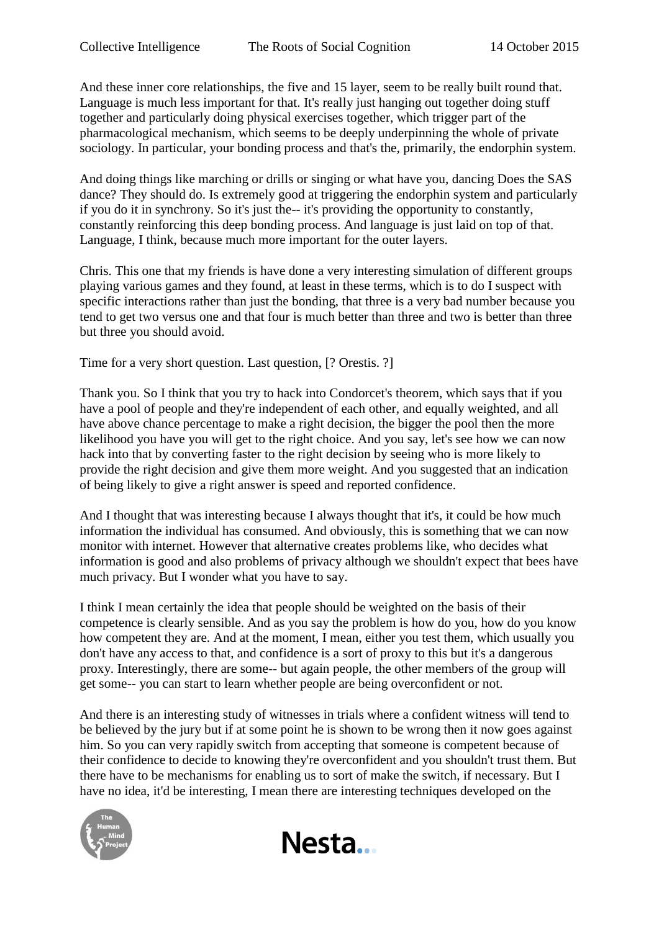And these inner core relationships, the five and 15 layer, seem to be really built round that. Language is much less important for that. It's really just hanging out together doing stuff together and particularly doing physical exercises together, which trigger part of the pharmacological mechanism, which seems to be deeply underpinning the whole of private sociology. In particular, your bonding process and that's the, primarily, the endorphin system.

And doing things like marching or drills or singing or what have you, dancing Does the SAS dance? They should do. Is extremely good at triggering the endorphin system and particularly if you do it in synchrony. So it's just the-- it's providing the opportunity to constantly, constantly reinforcing this deep bonding process. And language is just laid on top of that. Language, I think, because much more important for the outer layers.

Chris. This one that my friends is have done a very interesting simulation of different groups playing various games and they found, at least in these terms, which is to do I suspect with specific interactions rather than just the bonding, that three is a very bad number because you tend to get two versus one and that four is much better than three and two is better than three but three you should avoid.

Time for a very short question. Last question, [? Orestis. ?]

Thank you. So I think that you try to hack into Condorcet's theorem, which says that if you have a pool of people and they're independent of each other, and equally weighted, and all have above chance percentage to make a right decision, the bigger the pool then the more likelihood you have you will get to the right choice. And you say, let's see how we can now hack into that by converting faster to the right decision by seeing who is more likely to provide the right decision and give them more weight. And you suggested that an indication of being likely to give a right answer is speed and reported confidence.

And I thought that was interesting because I always thought that it's, it could be how much information the individual has consumed. And obviously, this is something that we can now monitor with internet. However that alternative creates problems like, who decides what information is good and also problems of privacy although we shouldn't expect that bees have much privacy. But I wonder what you have to say.

I think I mean certainly the idea that people should be weighted on the basis of their competence is clearly sensible. And as you say the problem is how do you, how do you know how competent they are. And at the moment, I mean, either you test them, which usually you don't have any access to that, and confidence is a sort of proxy to this but it's a dangerous proxy. Interestingly, there are some-- but again people, the other members of the group will get some-- you can start to learn whether people are being overconfident or not.

And there is an interesting study of witnesses in trials where a confident witness will tend to be believed by the jury but if at some point he is shown to be wrong then it now goes against him. So you can very rapidly switch from accepting that someone is competent because of their confidence to decide to knowing they're overconfident and you shouldn't trust them. But there have to be mechanisms for enabling us to sort of make the switch, if necessary. But I have no idea, it'd be interesting, I mean there are interesting techniques developed on the